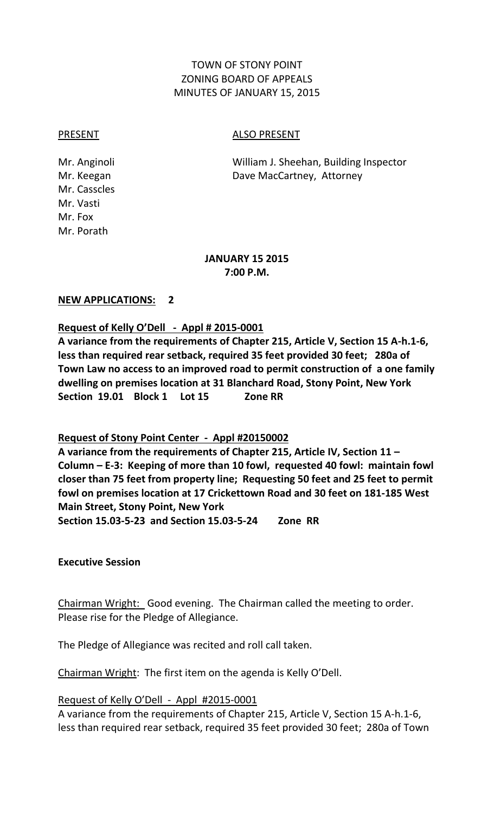# TOWN OF STONY POINT ZONING BOARD OF APPEALS MINUTES OF JANUARY 15, 2015

Mr. Casscles Mr. Vasti Mr. Fox Mr. Porath

PRESENT ALSO PRESENT

Mr. Anginoli William J. Sheehan, Building Inspector Mr. Keegan **Dave MacCartney**, Attorney

#### **JANUARY 15 2015 7:00 P.M.**

### **NEW APPLICATIONS: 2**

# **Request of Kelly O'Dell - Appl # 2015-0001**

**A variance from the requirements of Chapter 215, Article V, Section 15 A-h.1-6, less than required rear setback, required 35 feet provided 30 feet; 280a of Town Law no access to an improved road to permit construction of a one family dwelling on premises location at 31 Blanchard Road, Stony Point, New York Section 19.01 Block 1 Lot 15 Zone RR**

# **Request of Stony Point Center - Appl #20150002**

**A variance from the requirements of Chapter 215, Article IV, Section 11 – Column – E-3: Keeping of more than 10 fowl, requested 40 fowl: maintain fowl closer than 75 feet from property line; Requesting 50 feet and 25 feet to permit fowl on premises location at 17 Crickettown Road and 30 feet on 181-185 West Main Street, Stony Point, New York** 

**Section 15.03-5-23 and Section 15.03-5-24 Zone RR**

#### **Executive Session**

Chairman Wright: Good evening. The Chairman called the meeting to order. Please rise for the Pledge of Allegiance.

The Pledge of Allegiance was recited and roll call taken.

Chairman Wright: The first item on the agenda is Kelly O'Dell.

Request of Kelly O'Dell - Appl #2015-0001

A variance from the requirements of Chapter 215, Article V, Section 15 A-h.1-6, less than required rear setback, required 35 feet provided 30 feet; 280a of Town